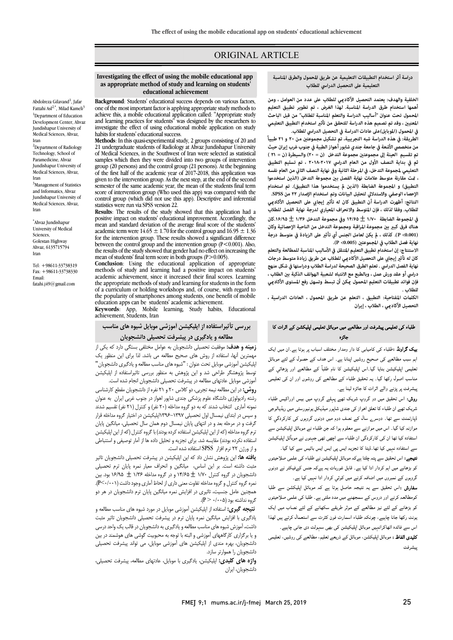## ORIGINAL ARTICLE

#### **دراسة أثر استخدام التطبيقات التعليمية عن طريق المحمول والطرق المناسبة التعليمية على التحصيل الدراسي للطلاب**

Ī 

 **أهمها استخدام طرق الدراسة المناسبة. لهذا الغرض ، تم تطوير تطبيق التعليم المحمول تحت عنوان "أساليب الدراسة والتعلم المناسبة للطلاب" من قبل الباحث المعني ، وقد تم تصميم هذه الدراسة للتحقق من تأث استخدام التطبيق التعليمي الخلفية والهدف: يعتمد التحصيل الأكادي للطلاب على عدد من العوامل ، ومن في المحمول (الموبايل)على عادات الدراسة في التحصيل الدراسي للطلاب.**

 **الطريقة: في هذه الدراسة شبه التجريبية، تم تشكيل مجموعت من ۲۰ و ۲۱ طبيباً من متخصصي الأشعة في جامعة جندي شابور أهواز الطبية في جنوب غرب إيران حيث ثم في بداية النصف الأول من العام الدراسي ۲۰۱۸-۲۰۱۷ ، تم تسليم التطبيق التعليمي لمجموعة التدخل، في المرحلة الثانية وفي نهاية النصف الثا من العام نفسه ، ت مقارنة متوسط علامات نهاية الفصل ب مجموعة التدخل (الذين استخدموا الإحصاء الوصفي والاستدلالي لتحليل البيانات وتم استخدام الإصدار ۲۲ من SPSS.** النتائج: أظهرت الدراسة أن التطبيق كان له تأثير إيجابي على التحصيل الأكاد<u>مي</u> **للطلاب. وفقا لذلك ، فإن المتوسط والانحراف المعياري لدرجة نهاية الفصل للطلاب هناك فرق كب ب مجموعة المراقبة ومجموعة التدخل من الناحية الإحصائية وكان تم تقسيم العينة إلى مجموعت مجموعة التدخل (ن = ۲۰) والسيطرة (ن = ۲۱ ) التطبيق) و المجموعة الضابطة (الذين يستخدموا هذا التطبيق). تم استخدام في المجموعة الضابطة ۱/۷۰** ± **۱۴/۶۵ وفي مجموعة التدخل ۱/۳۶** ± **.۱۶/۹۵كان** 

 **(0.001> P(. كذلك ، يكن لعامل الجنس أي تأث على الزيادة في متوسط درجة الاستنتاج: إن استخدام تطبيق التعليم المتنقل في الأساليب المناسبة للمطالعة والتعلم**  نهاية فصل الطلاب في المجموعتين (0.005> P).

كان له تأثير إيجابي على التحصيل الأكاديي للطلاب عن طريق زيادة متوسط درجات **نهاية الفصل الدراسي . تعلم الطر ق الصحيحة لدراسة الطلاب ودراستها في شكل منهج فإن فوائد تطبيقات التعليم المحمول كن أن تبسط وتسهل رفع المستوى الأكادي**  دراسي أو عقد ورش عمل ، وبالطبع مع الانتباه لشعبية الهواتف الذكية بين الطلاب ، **للطلاب .**

 **الكلت المفتاحية: التطبيق ، التعلم عن طريق المحمول ، العادات الدراسية ، التحصيل الأكادي ، الطلاب ، إيران**

## ۔<br>طلباء کی تعلیمی پیشرفت اور مطالعے میں موبائل تعلیمی اپلیکشن کے اثرات کا جائز ہ

**یک گراونڈ :**طلباء کی کامیابی کا دار ومدار مختلف اسباب پر ہوتا ہے۔ان میں ایک اہم سبب مطالعے کی صحیح روشیں اپنانا ہے۔ اس ہدف کے حصول کے لئے موبائل نعلیمی اپلیکیشن بنایا گیا۔اس اپلیکیشن کا نام طلبآ کے مطالعے اور پڑھائی کے مناسب اصول رکھا گیا۔ یہ تحقیق طلباء کے مطالعے کی روشوں اور ان کی تعلیمی پیشرفت پر پڑنے والے اثرات کا جائزہ لینا ہے۔

**روش:** اس تحقیق میں دو گروپ شریک تھے پہلے گروپ میں بیس اوراکیس طلباء<br>مقامت سریت بھے ان حبہء ت حتی اخوار نے جسیٰ سپور حیمیاتی یونیورنسی میں رینیا ہوئی۔<br>ڈپارٹمنٹ سے تھا ۔ دوسرے سال کے نصف دوم میں دونوں گروہوں کی کارکردگي کا پار کا سے گا کہ اس کا حاصل کے اس کے اس کا اس کا دوران کی محمد کی میں ہے۔<br>موازنہ کیا گیا۔ اس میں موازنے سے معلوم ہوا کہ جن طلباء نے موبائل اپلیکیشن سے ادہ ان رد ان ء ا ں ٓ ا ۔<br>سے استفادہ نہیں کیا تھا۔ڈیٹا کا تجزیہ ایس پی ایس ایس بائیس سے کیا گیا۔ شریک تھے ان طلباء کا تعلق اہواز کی جندی شاپور میڈیکل یونیورسٹی میں ریڈیالوجی

**تیجے:** اس تحقیق سے پتہ چلتا ہےکہ موبائل اپلیکیشن نے طلباء کی علمی صلاحیتوں کو بڑھانے میں اہم کردار ادا کیا ہے۔ قابل غوربات یہ ہےکہ جنس کےفیکٹر نے دونوں گروہوں کے نمبروں میں اضافہ کرنے میں کوئي کردار ادا نہیں کیا ہے۔

**سفارش :**اس تحقیق سے یہ نتیجہ حاصل ہوتا ہے کہ موبائل اپلیکشن سے طلبا<br>۔ کومطالعہ کرنے اور دروس کے سمجھنے میں مدد ملتی ہے ۔ طلبا کی علمی صلاحیتوں<br>مصدر میں میں دروس کے سندر میں میں دوستان کے اس کے میں میں میں میں میں میں ر ، ء ارٹ ن ت ال ا اس ہ اا ا دی ۔ کو بڑھانے کے لئے نیز مطالعے کے موثر طریقے سکھانے کے لئے نصاب میں ایک

۔<br>**کلیدی الفاظ :** موبائل اپلیکشن، موبائل کے ذریعے تعلیم، مطالعے کی روشیں، تعلیمی سشرفت

# **Investigating the effect of using the mobile educational app as appropriate method of study and learning on students' educational achievement**

Ī 

 **Background**: Students' educational success depends on various factors, achieve this, a mobile educational application called: "Appropriate study investigate the effect of using educational mobile application on study investigate the effect of using educational mobile application on study habits for students' educational success.<br>**Methods**: In this quasi-experimental study, 2 groups consisting of 20 and one of the most important factor is applying appropriate study methods to and learning practices for students" was designed by the researchers to habits for students' educational success.

 21 undergraduate students of Radiology at Ahvaz Jundishapur University samples which then they were divided into two groups of intervention  $\frac{1}{2}$  group (20 persons) and the control group (21 persons). At the beginning of the first half of the academic year of 2017-2018, this application was given to the intervention group. As the next step, at the end of the second score of intervention group (Who used this app) was compared with the control group (which did not use this app). Descriptive and inferential of Medical Sciences, in the Southwest of Iran were selected as statistical group (20 persons) and the control group (21 persons). At the beginning semester of the same academic year, the mean of the students final term statistics were run via SPSS version 22.

 **Results**: The results of the study showed that this application had a mean and standard deviation of the average final score of the students' for the intervention group. These results showed a significant difference between the control group and the intervention group (P<0.001). Also,<br>the results of the study showed that gender had no effect on increasing the mean of students' final term score in both groups  $(P>0.005)$ . positive impact on students' educational improvement. Accordingly, the academic term were  $14.65 \pm 1.70$  for the control group and  $16.95 \pm 1.36$ the results of the study showed that gender had no effect on increasing the

 methods of study and learning had a positive impact on students' academic achievement, since it increased their imal scores. Learning<br>the appropriate methods of study and learning for students in the form of a curriculum or holding workshops and, of course, with regard to education apps can be students' academic achievement. **Conclusion**: Using the educational application of appropriate academic achievement, since it increased their final scores. Learning the popularity of smartphones among students, one benefit of mobile

 **Keywords**: App, Mobile learning, Study habits, Educational achievement, Students, Iran

## **بررسی تأثیراستفاده از اپلیکیشن آموزشی موبایل شیوه هاي مناسب مطالعه و یادگیري در پیشرفت تحصیلی دانشجویان**

 **زمینه و هدف:** موفقیت تحصیلی دانشجویان به عوامل مختلفی بستگی دارد که یکی از مهمترین آنها، استفاده از روش هاي صحیح مطالعه می باشد. لذا براي این منظور یک پیتیس ، هورسی موبین تحت عنوان . سیوه سی سست مصنعه و یادتیری دستبویان<br>توسط پژوهشگر طراحی شد و این پژوهش به منظور بررسی تاثیراستفاده از اپلیکیشن آموزشی موبایل عادتهاي مطالعه در پیشرفت تحصیلی دانشجویان انجام شده است. اپلیکیشن آموزشی موبایل تحت عنوان : "شیوه هاي مناسب مطالعه و یادگیري دانشجویان"

 **روش:** در این مطالعه نیمه تجربی، دو کلاس 20 و 21 نفره از دانشجویان مقطع کارشناسی رشته رادیولوژی دانشگاه علوم پزشکی جندی شاپور اهواز در جنوب غربی ایران به عنوان<br>بر در آباد برانتخاب غربی که مدرج گرم برای (عنوان در ۱۳۷۱ زبان به عنوان و سپس در ابتداي نیمسال اول تحصیلی 1396-1397اپلیکیشن در اختیار گروه مداخله قرار گرفت و در مرحله بعد و در انتهاي پایان نیمسال دوم همان سال تحصیلی، میانگین پایان ترم گروه مداخله (که از این اپلیکیشن استفاده کرده بودند) با گروه کنترل (که از این اپلیکیشن<br>اعتذاب یک مدرستند/ تاریخ همین این توسط به این این این این آیا به سوخت میباشد. و از ورژن 22 نرم افزار SPSS استفاده شده است. نمونه آماري انتخاب شدند که به دو گروه مداخله (20 نفر) و کنترل (21 نفر) تقسیم شدند استفاده نکرده بودند) مقایسه شد. براي تجزیه و تحلیل داده ها از آمار توصیفی و استنباطی

 **یافته ها:** این پژوهش نشان داد که این اپلیکیشن در پیشرفت تحصیلی دانشجویان تاثیر مثبت داشته است. بر این اساس، میانگین و انحراف معیار نمره پایان ترم تحصیلی نامسجویان در خروه حفرن ۱۰۰۳ هـ هستند و گروه کروه مداخله ۱۰۰۷ هـ ۱۰۰۵ م و گروه بین<br>نمره گروه کنترل و گروه مداخله تفاوت معنی داری از لحاظ آماری وجود داشت (P<-(۰۰۱). همچنین عامل جنسیت، تاثیري در افزایش نمره میانگین پایان ترم دانشجویان در هر دو گروه نداشته بود (0/005 < P(. دانشجویان در گروه کنترل 1/70 ± 14/65 و در گروه مداخله 1/36 ± 16/95 بود. بین

 **نتیجه گیري:** استفاده از اپلیکیشن آموزشی موبایل در مورد شیوه هاي مناسب مطالعه و داشت**.** آموزش شیوه هاي مناسب مطالعه و یادگیري به دانشجویان در قالب یک واحد درسی و یا برگزاري کارگاههاي آموزشی و البته با توجه به محبوبیت گوشی هاي هوشمند در بین دانشجویان، بهره مندي از اپلیکیشن هاي آموزشی موبایل، می تواند پیشرفت تحصیلی یادگیري با افزایش میانگین نمره پایان ترم در پیشرفت تحصیلی دانشجویان تاثیر مثبت دانشجویان را هموارتر سازد.

 **واژه هاي کلیدي:** اپلیکیشن، یادگیري با موبایل، عادتهاي مطالعه، پیشرفت تحصیلی، دانشجویان، ایران

Abdolreza Gilavand<sup>1</sup>, Jafar Fattahi Asl<sup>2,\*</sup>, Milad Kameli<sup>3</sup> <sup>1</sup>Department of Education Development Center, Ahvaz Jundishapur University of Medical Sciences, Ahvaz, Iran

<sup>2</sup>Department of Radiology Technology, School of Paramedicine, Ahvaz Jundishapur University of Medical Sciences, Ahvaz, Iran <sup>3</sup>Management of Statistics and Informatics, Ahvaz Jundishapur University of

Medical Sciences, Ahvaz, Iran

\* Ahvaz Jundishapur University of Medical Sciences, Golestan Highway Ahvaz, 6135715794 Iran

Tel: +98611-33738319 Fax: +98611-33738330 Email: fatahi.j49@gmail.com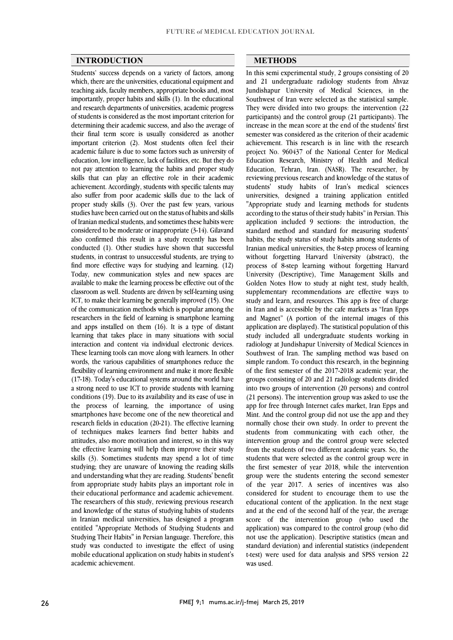#### **INTRODUCTION**

 Students' success depends on a variety of factors, among which, there are the universities, educational equipment and teaching aids, faculty members, appropriate books and, most and research departments of universities, academic progress of students is considered as the most important criterion for determining their academic success, and also the average of their final term score is usually considered as another  $a$ cademic failure is due to some factors such as university of education, low intelligence, lack of facilities, etc. But they do not pay attention to learning the habits and proper study skills that can play an effective role in their academic also suffer from poor academic skills due to the lack of proper study skills (3). Over the past few years, various studies have been carried out on the status of habits and skills of framan medical students, and sometimes these habits were<br>considered to be moderate or inappropriate (3-14). Gilavand also confirmed this result in a study recently has been conducted (1). Other studies have shown that successful students, in contrast to unsuccessful students, are trying to mid more enective ways for studying and learning. (12)<br>Today, new communication styles and new spaces are available to make the learning process be effective out of the classroom as well. Students are driven by self-learning using ICT, to make their learning be generally improved (15). One of the communication includes which is popular among the researchers in the field of learning is smartphone learning and apps installed on them  $(16)$ . It is a type of distant learning that takes place in many situations with social interaction and content via individual electronic devices. words, the various capabilities of smartphones reduce the flexibility of learning environment and make it more flexible (17-18). Today's educational systems around the world have a strong need to use ICT to provide students with learning the process of learning, the importance of using smartphones have become one of the new theoretical and research fields in education (20-21). The effective learning of techniques makes learners find better habits and the effective learning will help them improve their study skills (3). Sometimes students may spend a lot of time studying; they are unaware of knowing the reading skills and understanding what they are reading. Students benefit<br>from appropriate study habits plays an important role in their educational performance and academic achievement. The researchers of this study, reviewing previous research and knowledge of the status of studying habits of students entitled "Appropriate Methods of Studying Students and Studying Their Habits" in Persian language. Therefore, this study was conducted to investigate the effect of using mobile educational application on study habits in student's importantly, proper habits and skills (1). In the educational important criterion (2). Most students often feel their achievement. Accordingly, students with specific talents may of Iranian medical students, and sometimes these habits were find more effective ways for studying and learning. (12) of the communication methods which is popular among the These learning tools can move along with learners. In other conditions (19). Due to its availability and its ease of use in attitudes, also more motivation and interest, so in this way and understanding what they are reading. Students' benefit in Iranian medical universities, has designed a program academic achievement.

### **METHODS**

 In this semi experimental study, 2 groups consisting of 20 and 21 undergraduate radiology students from Ahvaz Jundishapur University of Medical Sciences, in the They were divided into two groups: the intervention (22 participants) and the control group (21 participants). The increase in the mean score at the end of the students' first semester was considered as the criterion of their academic project No. 960437 of the National Center for Medical Education Research, Ministry of Health and Medical Education, Tehran, Iran. (NASR). The researcher, by reviewing previous research and knowledge of the status of universities, designed a training application entitled "Appropriate study and learning methods for students according to the status of their study habits" in Persian. This application included 9 sections: the introduction, the<br>standard method and standard for measuring students' habits, the study status of study habits among students of Iranian medical universities, the 8-step process of learning without forgetting Harvard University (abstract), the University (Descriptive), Time Management Skills and Golden Notes How to study at night test, study health, supplementary recommendations are effective ways to study and learn, and resources. This app is free of charge and Magnet" (A portion of the internal images of this application are displayed). The statistical population of this study included all undergraduate students working in radiology at Jundishapur University of Medical Sciences in southwest of fiant. The sampling memod was based on<br>simple random. To conduct this research, in the beginning of the first semester of the 2017-2018 academic year, the groups consisting of 20 and 21 radiology students divided into two groups of intervention (20 persons) and control app for free through Internet cafes market, Iran Epps and Mint. And the control group did not use the app and they normally chose their own study. In order to prevent the students from communicating with each other, the from the students of two different academic years. So, the students that were selected as the control group were in the first semester of year 2018, while the intervention of the year 2017. A series of incentives was also considered for student to encourage them to use the educational content of the application. In the next stage and at the end of the second half of the year, the average application) was compared to the control group (who did not use the application). Descriptive statistics (mean and standard deviation) and inferential statistics (independent t-test) were used for data analysis and SPSS version 22 Southwest of Iran were selected as the statistical sample. achievement. This research is in line with the research students' study habits of Iran's medical sciences application included 9 sections: the introduction, the process of 8-step learning without forgetting Harvard in Iran and is accessible by the cafe markets as "Iran Epps Southwest of Iran. The sampling method was based on (21 persons). The intervention group was asked to use the intervention group and the control group were selected group were the students entering the second semester score of the intervention group (who used the was used.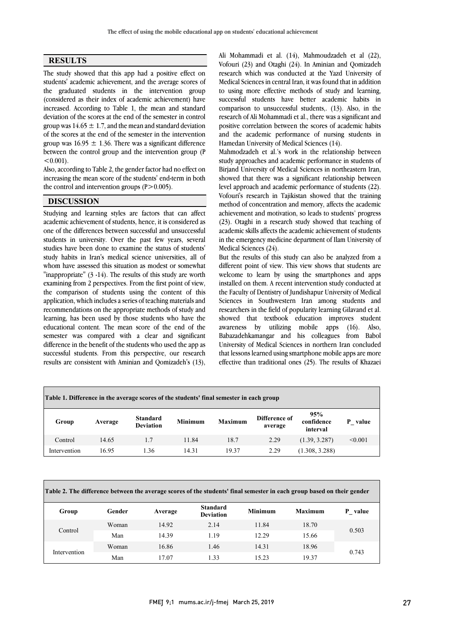$\overline{\phantom{0}}$ 

### **RESULTS**

The study showed that this app had a positive effect on students' academic achievement, and the average scores of the graduated students in the intervention group increased. According to Table 1, the mean and standard deviation of the scores at the end of the semester in control group was  $14.65 \pm 1.7$ , and the mean and standard deviation of the scores at the end of the semester in the intervention  $\mu$  was 10.99  $\pm$  1.90. There was a significant differential between the control group and the intervention group (P  $\overline{a}$ (considered as their index of academic achievement) have group was  $16.95 \pm 1.36$ . There was a significant difference  $< 0.001$ .

 Also, according to Table 2, the gender factor had no effect on increasing the mean score of the students' end-term in both  $\overline{a}$ the control and intervention groups  $(P>0.005)$ .

### **DISCUSSION**

 Studying and learning styles are factors that can affect academic achievement of students, hence, it is considered as<br>one of the differences between successful and unsuccessful students in university. Over the past few years, several studies have been done to examine the status of students' study habits in Iran's medical science universities, all of whom have assessed this situation as modest or somewhat<br>"is expressed to  $(2, 1.4)$ . The next has failed the stage weak  $\frac{m}{p}$  regions  $\frac{m}{p}$  and  $\frac{m}{p}$  and  $\frac{m}{p}$  and  $\frac{m}{p}$  and  $\frac{m}{p}$  and  $\frac{m}{p}$  and  $\frac{m}{p}$  and  $\frac{m}{p}$  and  $\frac{m}{p}$  and  $\frac{m}{p}$  and  $\frac{m}{p}$  and  $\frac{m}{p}$  and  $\frac{m}{p}$  and  $\frac{m}{p}$  and  $\frac{m}{p$  the comparison of students using the content of this application, which includes a series of teaching materials and recommendations on the appropriate methods of study and<br>learning, has been used by those students who have the educational content. The mean score of the end of the semester was compared with a clear and significant difference in the benefit of the students who used the app as results are consistent with Aminian and Qomizadeh's (13),  $\overline{a}$ academic achievement of students, hence, it is considered as "inappropriate" (3 -14). The results of this study are worth recommendations on the appropriate methods of study and successful students. From this perspective, our research

All monammadi et al. (14), manmoudzaden et al (22),<br>Vofouri (23) and Otaghi (24). In Aminian and Qomizadeh research which was conducted at the Yazd University of Medical Sciences in central Iran, it was found that in addition to using more effective methods of study and learning, research of Ali Mohammadi et al., there was a significant and positive correlation between the scores of academic habits and the academic performance of nursing students in Ali Mohammadi et al. (14), Mahmoudzadeh et al (22), successful students have better academic habits in comparison to unsuccessful students,. (13). Also, in the Hamedan University of Medical Sciences (14).

 Mahmodzadeh et al.'s work in the relationship between study approaches and academic performance in students of Birjand University of Medical Sciences in northeastern Iran, showed that there was a significant relationship between Vofouri's research in Tajikistan showed that the training method of concentration and memory, affects the academic achievement and motivation, so leads to students' progress  $(25)$ . Otagni in a research study showed that teaching of academic skills affects the academic achievement of students in the emergency medicine department of Ilam University of level approach and academic performance of students (22). (23). Otaghi in a research study showed that teaching of Medical Sciences (24).

 But the results of this study can also be analyzed from a welcome to learn by using the smartphones and apps installed on them. A recent intervention study conducted at the Faculty of Dentistry of Jundishapur University of Medical Sciences in Southwestern Iran among students and showed that textbook education improves student awareness by utilizing mobile apps (16). Also, Babazadehkamangar and his colleagues from Babol University of Medical Sciences in northern Iran concluded effective than traditional ones (25). The results of Khazaei different point of view. This view shows that students are researchers in the field of popularity learning Gilavand et al. that lessons learned using smartphone mobile apps are more

| Table 1. Difference in the average scores of the students' final semester in each group |         |                                     |                |                |                          |                               |            |  |  |  |
|-----------------------------------------------------------------------------------------|---------|-------------------------------------|----------------|----------------|--------------------------|-------------------------------|------------|--|--|--|
| Group                                                                                   | Average | <b>Standard</b><br><b>Deviation</b> | <b>Minimum</b> | <b>Maximum</b> | Difference of<br>average | 95%<br>confidence<br>interval | value<br>P |  |  |  |
| Control                                                                                 | 14.65   | 1.7                                 | 11.84          | 18.7           | 2.29                     | (1.39, 3.287)                 | < 0.001    |  |  |  |
| Intervention                                                                            | 16.95   | 1.36                                | 14.31          | 19.37          | 2.29                     | (1.308, 3.288)                |            |  |  |  |
|                                                                                         |         |                                     |                |                |                          |                               |            |  |  |  |

| Table 2. The difference between the average scores of the students' final semester in each group based on their gender |        |         |                                     |                |                |         |  |  |  |
|------------------------------------------------------------------------------------------------------------------------|--------|---------|-------------------------------------|----------------|----------------|---------|--|--|--|
| Group                                                                                                                  | Gender | Average | <b>Standard</b><br><b>Deviation</b> | <b>Minimum</b> | <b>Maximum</b> | P value |  |  |  |
| Control                                                                                                                | Woman  | 14.92   | 2.14                                | 11.84          | 18.70          | 0.503   |  |  |  |
|                                                                                                                        | Man    | 14.39   | 1.19                                | 12.29          | 15.66          |         |  |  |  |
| Intervention                                                                                                           | Woman  | 16.86   | 1.46                                | 14.31          | 18.96          | 0.743   |  |  |  |
|                                                                                                                        | Man    | 17.07   | 1.33                                | 15.23          | 19.37          |         |  |  |  |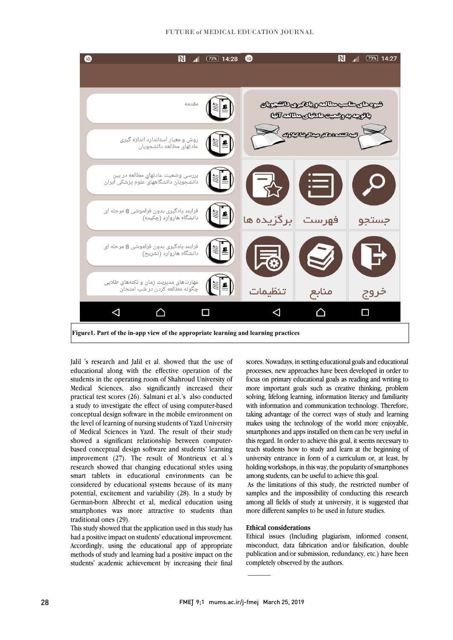#### FUTURE of MEDICAL EDUCATION JOURNAL



 Jalil 's research and Jalil et al. showed that the use of educational along with the effective operation of the students in the operating room of Shahroud University of Medical Sciences, also significantly increased their a study to investigate the effect of using computer-based conceptual design software in the mobile environment on the level of learning of nursing students of Yazd University of Medical Sciences in Yazd. The result of their study based conceptual design software and students' learning improvement (27). The result of Montrieux et al.'s research showed that changing educational styles using smart tablets in educational environments can be<br>considered by educational systems because of its many potential, excitement and variability  $(28)$ . In a study by German-born Albrecht et al, medical education using smartphones was more attractive to students than practical test scores (26). Salmani et al.'s also conducted showed a significant relationship between computersmart tablets in educational environments can be traditional ones (29).

 This study showed that the application used in this study has had a positive impact on students' educational improvement. Accordingly, using the educational app of appropriate methods of study and learning had a positive impact on the students' academic achievement by increasing their final

 scores. Nowadays, in setting educational goals and educational processes, new approaches have been developed in order to focus on primary educational goals as reading and writing to more important goals such as creative thinking, problem with information and communication technology. Therefore, taking advantage of the correct ways of study and learning makes using the technology of the world more enjoyable, smartphones and apps installed on them can be very useful in teach students how to study and learn at the beginning of university entrance in form of a curriculum or, at least, by holding workshops, in this way, the popularity of smartphones solving, lifelong learning, information literacy and familiarity this regard. In order to achieve this goal, it seems necessary to among students, can be useful to achieve this goal.

all and students, can be useful to achieve this goal.<br>As the limitations of this study, the restricted number of samples and the impossibility of conducting this research among all fields of study at university, it is suggested that more different samples to be used in future studies.

### **Ethical considerations**

 Ethical issues (Including plagiarism, informed consent, misconduct, data fabrication and/or falsification, double publication and/or submission, redundancy, etc.) have been completely observed by the authors.

 $\overline{\phantom{a}}$